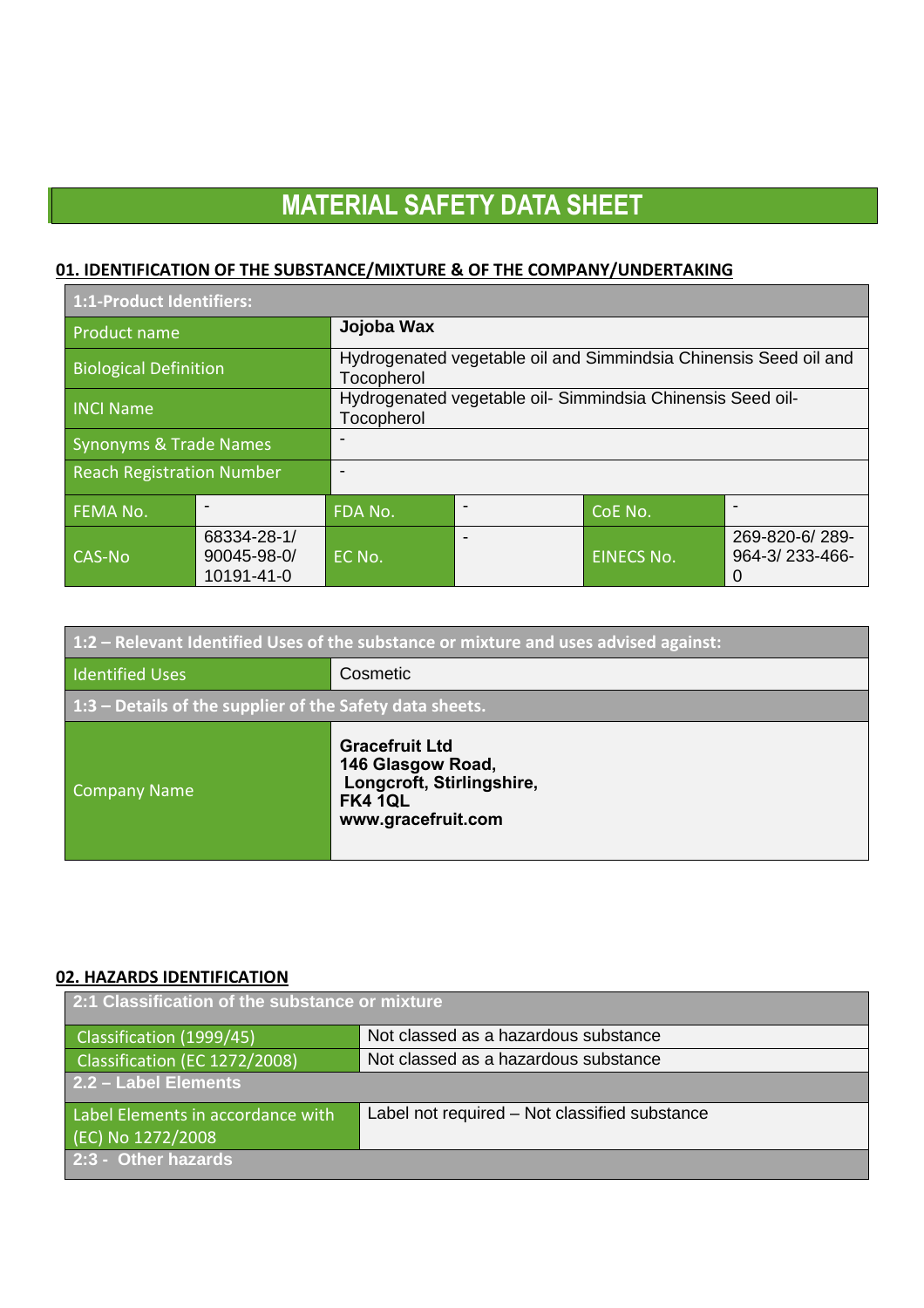## **01. IDENTIFICATION OF THE SUBSTANCE/MIXTURE & OF THE COMPANY/UNDERTAKING**

| 1:1-Product Identifiers:         |                                               |                                                                                |  |                   |                                       |
|----------------------------------|-----------------------------------------------|--------------------------------------------------------------------------------|--|-------------------|---------------------------------------|
| <b>Product name</b>              |                                               | Jojoba Wax                                                                     |  |                   |                                       |
| <b>Biological Definition</b>     |                                               | Hydrogenated vegetable oil and Simmindsia Chinensis Seed oil and<br>Tocopherol |  |                   |                                       |
| <b>INCI Name</b>                 |                                               | Hydrogenated vegetable oil- Simmindsia Chinensis Seed oil-<br>Tocopherol       |  |                   |                                       |
| Synonyms & Trade Names           |                                               |                                                                                |  |                   |                                       |
| <b>Reach Registration Number</b> |                                               |                                                                                |  |                   |                                       |
| <b>FEMA No.</b>                  |                                               | FDA No.                                                                        |  | CoE No.           |                                       |
| CAS-No                           | 68334-28-1/<br>$90045 - 98 - 0$<br>10191-41-0 | EC No.                                                                         |  | <b>EINECS No.</b> | 269-820-6/289-<br>964-3/233-466-<br>0 |

| $1:2$ – Relevant Identified Uses of the substance or mixture and uses advised against: |                                                                                                                 |  |
|----------------------------------------------------------------------------------------|-----------------------------------------------------------------------------------------------------------------|--|
| Identified Uses                                                                        | Cosmetic                                                                                                        |  |
| $1:3$ – Details of the supplier of the Safety data sheets.                             |                                                                                                                 |  |
| <b>Company Name</b>                                                                    | <b>Gracefruit Ltd</b><br>146 Glasgow Road,<br>Longcroft, Stirlingshire,<br><b>FK4 1QL</b><br>www.gracefruit.com |  |

#### **02. HAZARDS IDENTIFICATION**

| 2:1 Classification of the substance or mixture |                                               |  |
|------------------------------------------------|-----------------------------------------------|--|
| Classification (1999/45)                       | Not classed as a hazardous substance          |  |
| Classification (EC 1272/2008)                  | Not classed as a hazardous substance          |  |
| 2.2 - Label Elements                           |                                               |  |
| Label Elements in accordance with              | Label not required - Not classified substance |  |
| (EC) No 1272/2008                              |                                               |  |
| 2:3 - Other hazards                            |                                               |  |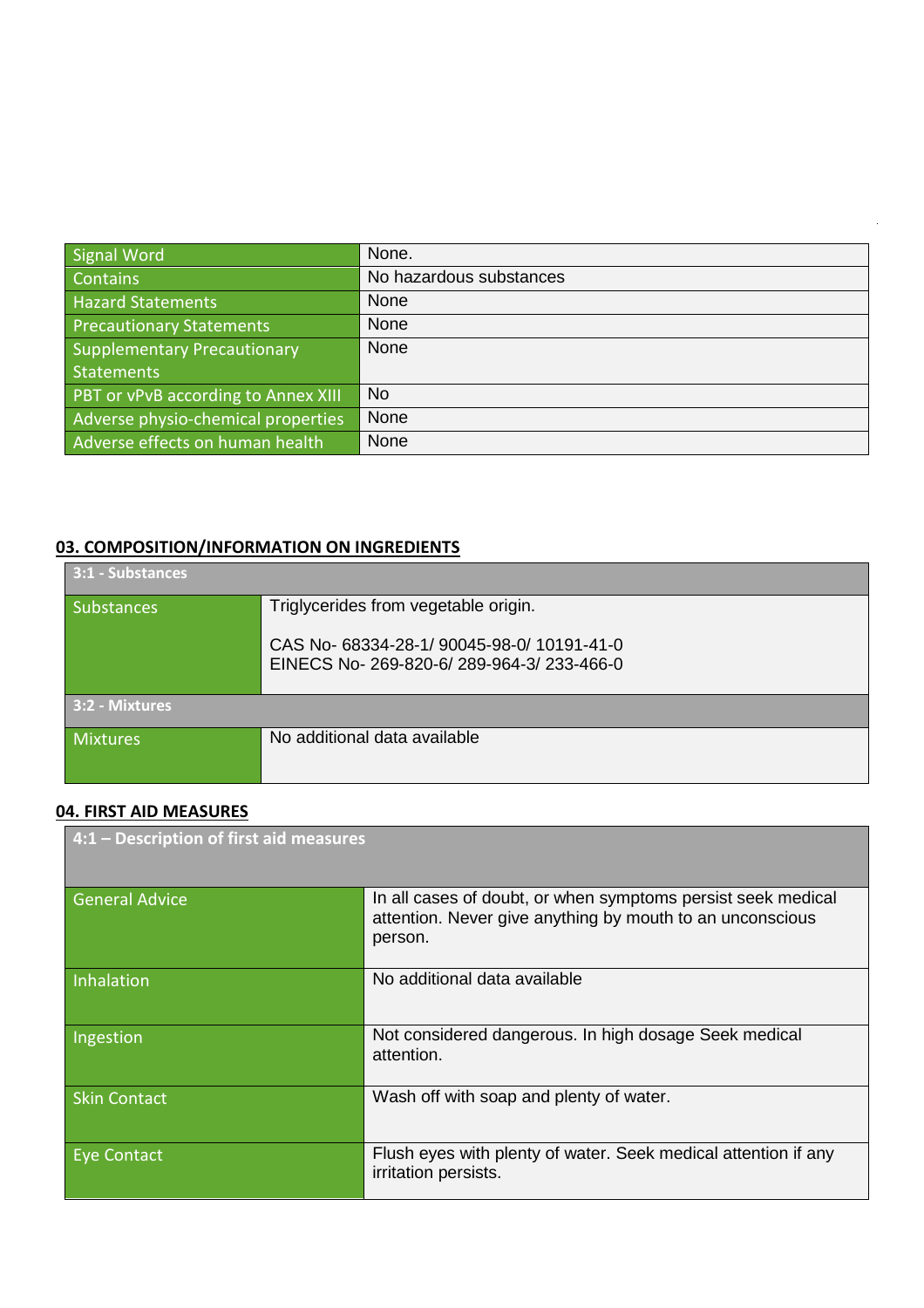| Signal Word                         | None.                   |
|-------------------------------------|-------------------------|
| <b>Contains</b>                     | No hazardous substances |
| <b>Hazard Statements</b>            | None                    |
| <b>Precautionary Statements</b>     | None                    |
| <b>Supplementary Precautionary</b>  | <b>None</b>             |
| <b>Statements</b>                   |                         |
| PBT or vPvB according to Annex XIII | <b>No</b>               |
| Adverse physio-chemical properties  | None                    |
| Adverse effects on human health     | None                    |

## **03. COMPOSITION/INFORMATION ON INGREDIENTS**

| 3:1 - Substances  |                                                                                    |
|-------------------|------------------------------------------------------------------------------------|
| <b>Substances</b> | Triglycerides from vegetable origin.                                               |
|                   | CAS No-68334-28-1/90045-98-0/10191-41-0<br>EINECS No-269-820-6/289-964-3/233-466-0 |
| 3:2 - Mixtures    |                                                                                    |
| <b>Mixtures</b>   | No additional data available                                                       |

## **04. FIRST AID MEASURES**

| 4:1 - Description of first aid measures |                                                                                                                                      |  |
|-----------------------------------------|--------------------------------------------------------------------------------------------------------------------------------------|--|
| <b>General Advice</b>                   | In all cases of doubt, or when symptoms persist seek medical<br>attention. Never give anything by mouth to an unconscious<br>person. |  |
| Inhalation                              | No additional data available                                                                                                         |  |
| Ingestion                               | Not considered dangerous. In high dosage Seek medical<br>attention.                                                                  |  |
| <b>Skin Contact</b>                     | Wash off with soap and plenty of water.                                                                                              |  |
| Eye Contact                             | Flush eyes with plenty of water. Seek medical attention if any<br>irritation persists.                                               |  |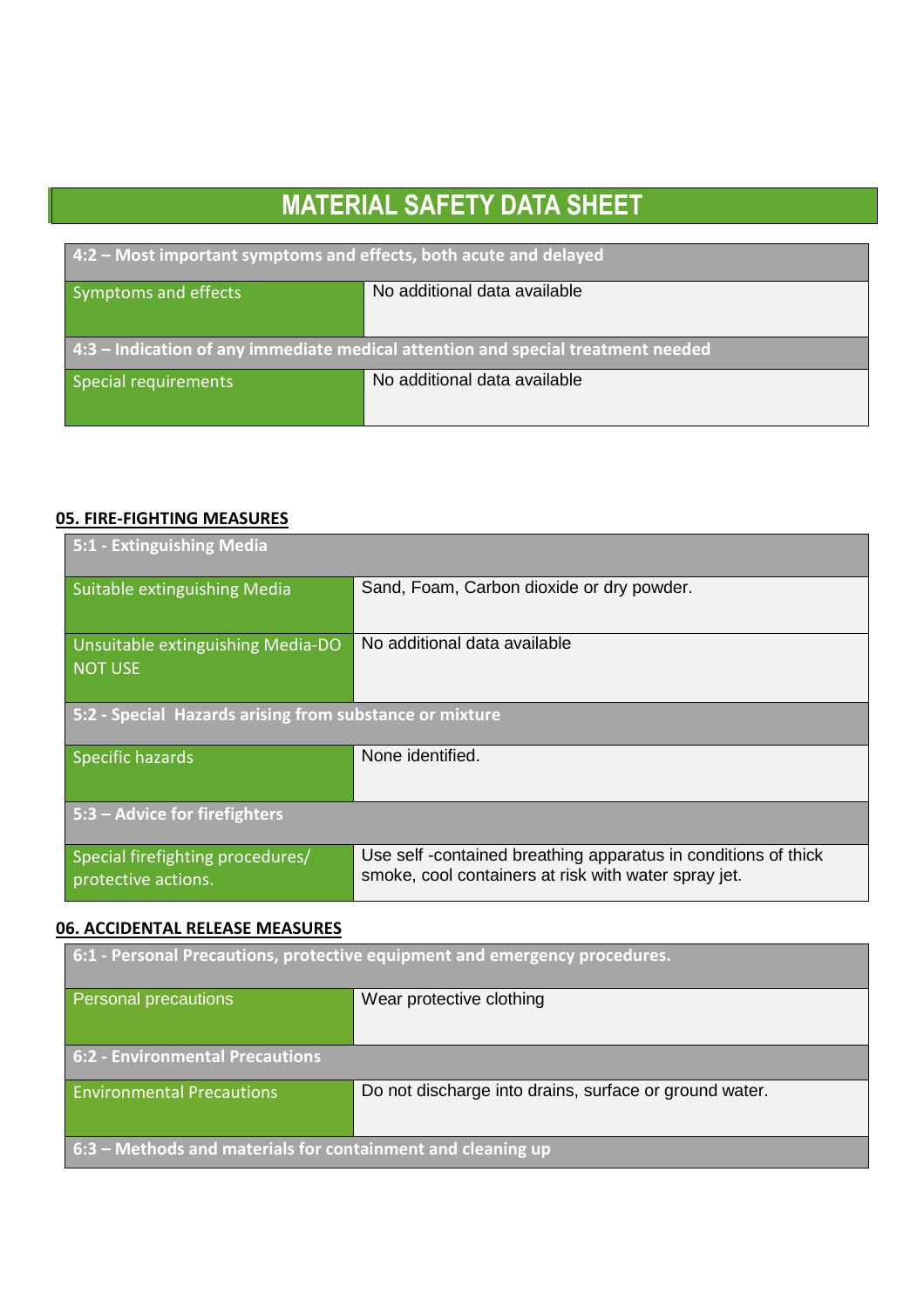| 4:2 - Most important symptoms and effects, both acute and delayed                |                              |  |
|----------------------------------------------------------------------------------|------------------------------|--|
| Symptoms and effects                                                             | No additional data available |  |
| 4:3 – Indication of any immediate medical attention and special treatment needed |                              |  |
| <b>Special requirements</b>                                                      | No additional data available |  |

### **05. FIRE-FIGHTING MEASURES**

 $\overline{a}$ 

| 5:1 - Extinguishing Media                               |                                                                                                                       |  |
|---------------------------------------------------------|-----------------------------------------------------------------------------------------------------------------------|--|
| Suitable extinguishing Media                            | Sand, Foam, Carbon dioxide or dry powder.                                                                             |  |
| Unsuitable extinguishing Media-DO<br><b>NOT USE</b>     | No additional data available                                                                                          |  |
| 5:2 - Special Hazards arising from substance or mixture |                                                                                                                       |  |
| Specific hazards                                        | None identified.                                                                                                      |  |
| 5:3 – Advice for firefighters                           |                                                                                                                       |  |
| Special firefighting procedures/<br>protective actions. | Use self-contained breathing apparatus in conditions of thick<br>smoke, cool containers at risk with water spray jet. |  |

## **06. ACCIDENTAL RELEASE MEASURES**

| 6:1 - Personal Precautions, protective equipment and emergency procedures. |                                                        |
|----------------------------------------------------------------------------|--------------------------------------------------------|
| <b>Personal precautions</b>                                                | Wear protective clothing                               |
| <b>6:2 - Environmental Precautions</b>                                     |                                                        |
| <b>Environmental Precautions</b>                                           | Do not discharge into drains, surface or ground water. |
| $\overline{1}$ 6:3 – Methods and materials for containment and cleaning up |                                                        |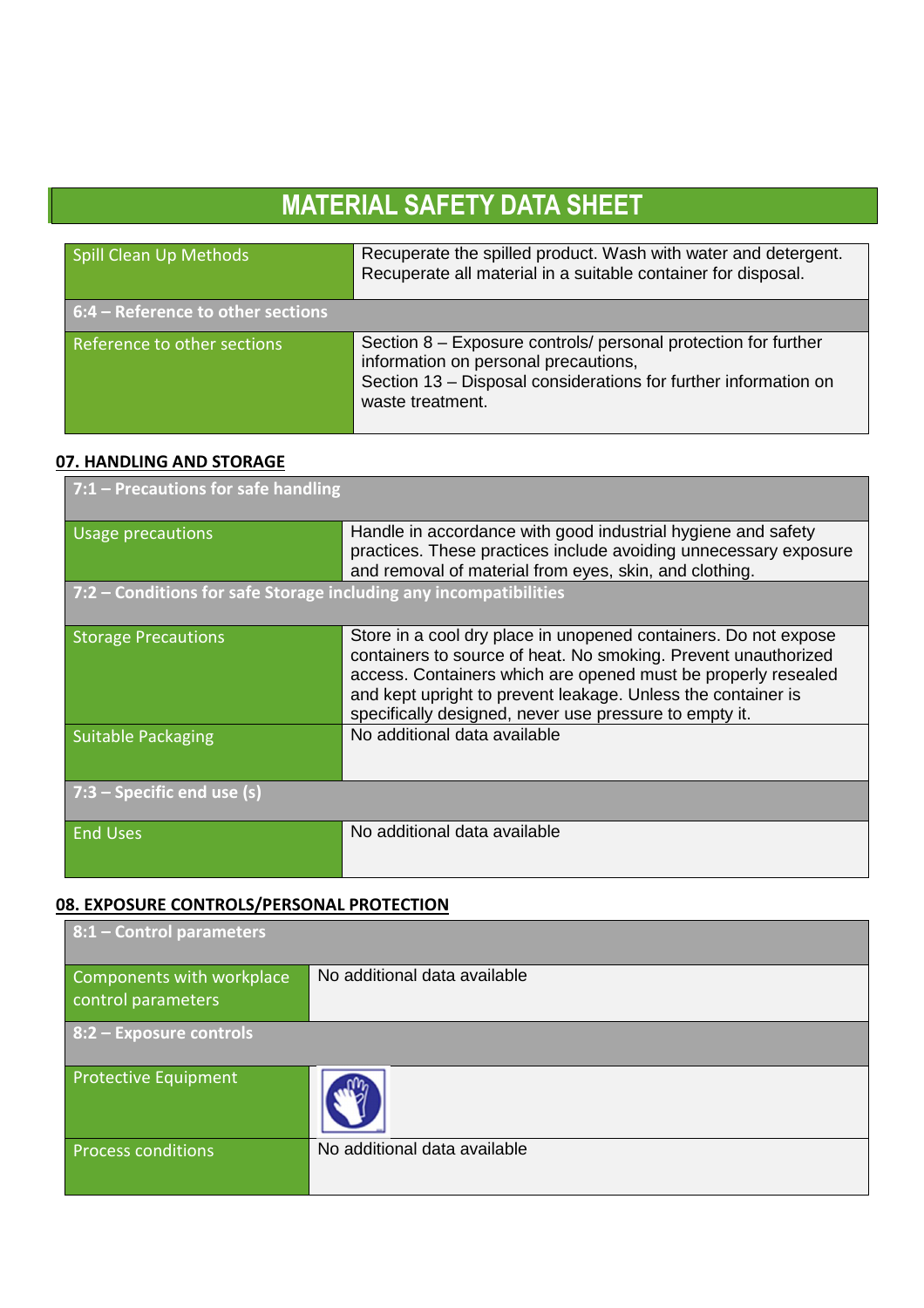| Spill Clean Up Methods              | Recuperate the spilled product. Wash with water and detergent.<br>Recuperate all material in a suitable container for disposal.                                                               |
|-------------------------------------|-----------------------------------------------------------------------------------------------------------------------------------------------------------------------------------------------|
| $6:4$ – Reference to other sections |                                                                                                                                                                                               |
| Reference to other sections         | Section 8 – Exposure controls/ personal protection for further<br>information on personal precautions,<br>Section 13 - Disposal considerations for further information on<br>waste treatment. |

### **07. HANDLING AND STORAGE**

 $\overline{a}$ 

| $7:1$ – Precautions for safe handling                             |                                                                                                                                                                                                                                                                                                                              |  |
|-------------------------------------------------------------------|------------------------------------------------------------------------------------------------------------------------------------------------------------------------------------------------------------------------------------------------------------------------------------------------------------------------------|--|
| Usage precautions                                                 | Handle in accordance with good industrial hygiene and safety<br>practices. These practices include avoiding unnecessary exposure<br>and removal of material from eyes, skin, and clothing.                                                                                                                                   |  |
| 7:2 – Conditions for safe Storage including any incompatibilities |                                                                                                                                                                                                                                                                                                                              |  |
| <b>Storage Precautions</b>                                        | Store in a cool dry place in unopened containers. Do not expose<br>containers to source of heat. No smoking. Prevent unauthorized<br>access. Containers which are opened must be properly resealed<br>and kept upright to prevent leakage. Unless the container is<br>specifically designed, never use pressure to empty it. |  |
| <b>Suitable Packaging</b>                                         | No additional data available                                                                                                                                                                                                                                                                                                 |  |
| $7:3$ – Specific end use (s)                                      |                                                                                                                                                                                                                                                                                                                              |  |
| <b>End Uses</b>                                                   | No additional data available                                                                                                                                                                                                                                                                                                 |  |

### **08. EXPOSURE CONTROLS/PERSONAL PROTECTION**

| $8:1$ – Control parameters                      |                              |  |
|-------------------------------------------------|------------------------------|--|
| Components with workplace<br>control parameters | No additional data available |  |
| 8:2 - Exposure controls                         |                              |  |
| <b>Protective Equipment</b>                     |                              |  |
| <b>Process conditions</b>                       | No additional data available |  |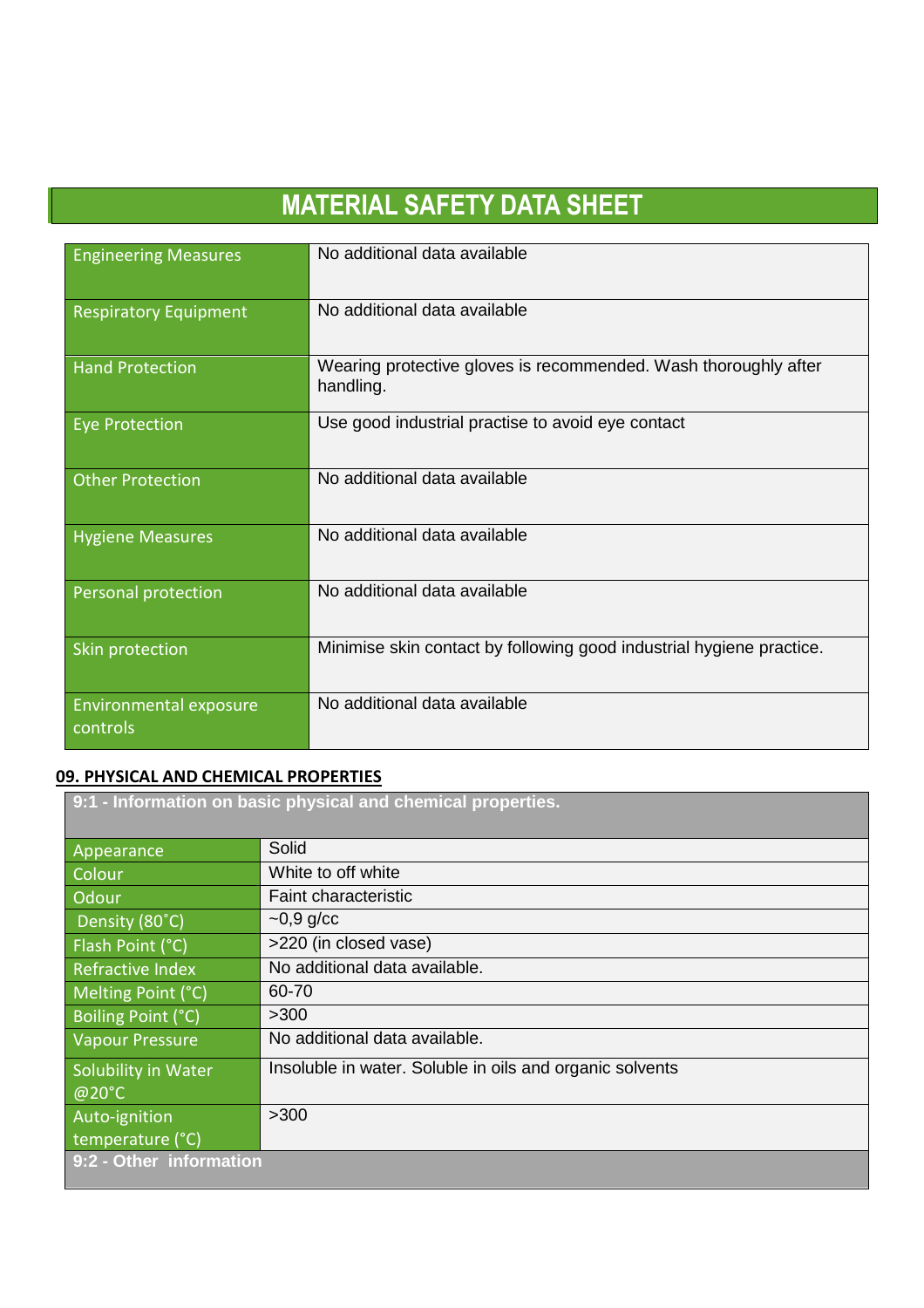| <b>Engineering Measures</b>        | No additional data available                                                 |
|------------------------------------|------------------------------------------------------------------------------|
| <b>Respiratory Equipment</b>       | No additional data available                                                 |
| <b>Hand Protection</b>             | Wearing protective gloves is recommended. Wash thoroughly after<br>handling. |
| <b>Eye Protection</b>              | Use good industrial practise to avoid eye contact                            |
| <b>Other Protection</b>            | No additional data available                                                 |
| <b>Hygiene Measures</b>            | No additional data available                                                 |
| Personal protection                | No additional data available                                                 |
| Skin protection                    | Minimise skin contact by following good industrial hygiene practice.         |
| Environmental exposure<br>controls | No additional data available                                                 |

### **09. PHYSICAL AND CHEMICAL PROPERTIES**

| 9:1 - Information on basic physical and chemical properties. |                                                          |
|--------------------------------------------------------------|----------------------------------------------------------|
|                                                              |                                                          |
| Appearance                                                   | Solid                                                    |
| <b>Colour</b>                                                | White to off white                                       |
| Odour                                                        | <b>Faint characteristic</b>                              |
| Density (80°C)                                               | $\sim$ 0,9 g/cc                                          |
| Flash Point (°C)                                             | >220 (in closed vase)                                    |
| Refractive Index                                             | No additional data available.                            |
| Melting Point (°C)                                           | 60-70                                                    |
| Boiling Point (°C)                                           | >300                                                     |
| <b>Vapour Pressure</b>                                       | No additional data available.                            |
| Solubility in Water                                          | Insoluble in water. Soluble in oils and organic solvents |
| @20°C                                                        |                                                          |
| Auto-ignition                                                | >300                                                     |
| temperature (°C)                                             |                                                          |
| 9:2 - Other information                                      |                                                          |
|                                                              |                                                          |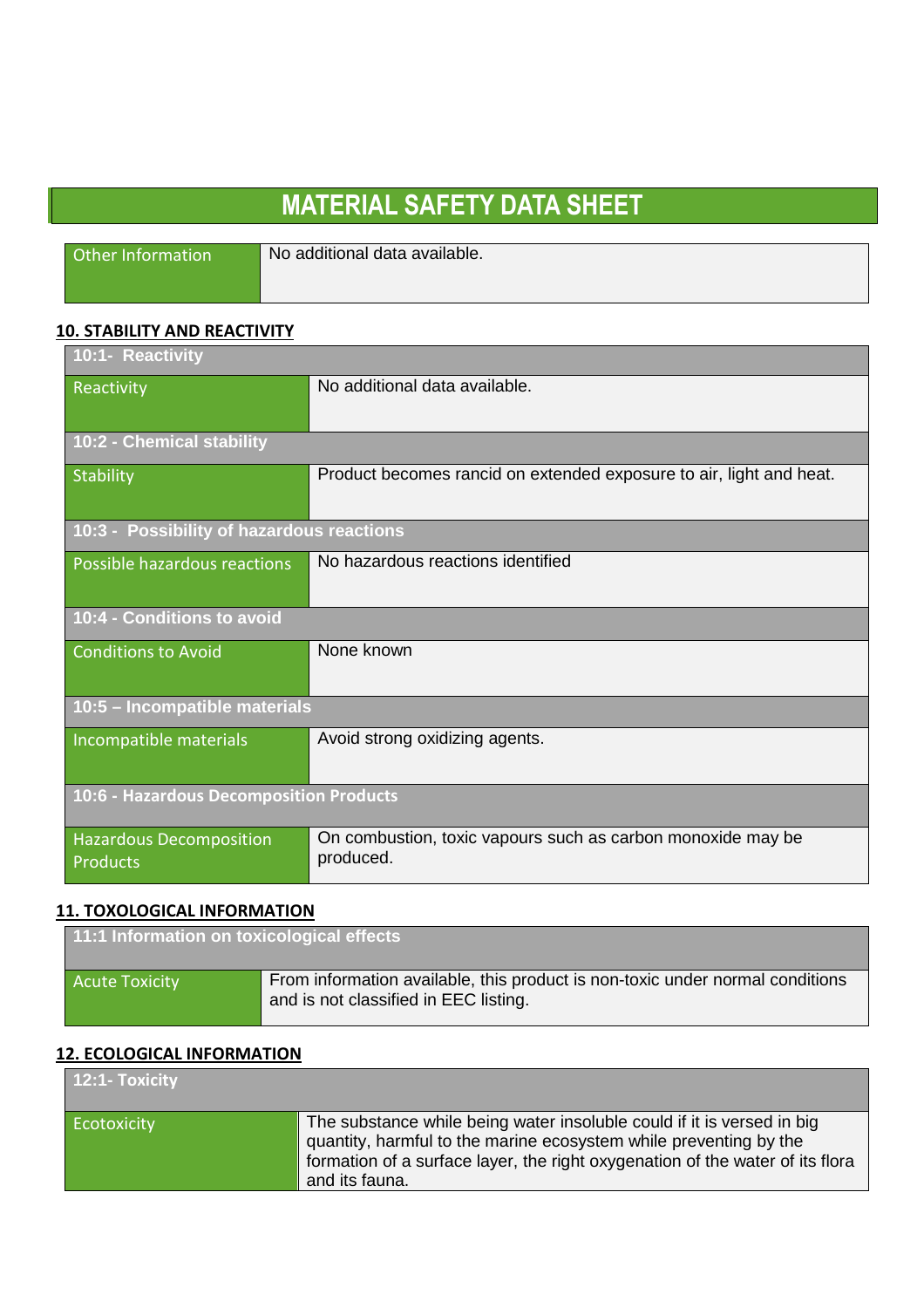Other Information No additional data available.

 $\overline{a}$ 

### **10. STABILITY AND REACTIVITY**

| 10:1- Reactivity                                  |                                                                          |
|---------------------------------------------------|--------------------------------------------------------------------------|
| Reactivity                                        | No additional data available.                                            |
| 10:2 - Chemical stability                         |                                                                          |
| <b>Stability</b>                                  | Product becomes rancid on extended exposure to air, light and heat.      |
| 10:3 - Possibility of hazardous reactions         |                                                                          |
| Possible hazardous reactions                      | No hazardous reactions identified                                        |
| 10:4 - Conditions to avoid                        |                                                                          |
| <b>Conditions to Avoid</b>                        | None known                                                               |
| 10:5 - Incompatible materials                     |                                                                          |
| Incompatible materials                            | Avoid strong oxidizing agents.                                           |
| 10:6 - Hazardous Decomposition Products           |                                                                          |
| <b>Hazardous Decomposition</b><br><b>Products</b> | On combustion, toxic vapours such as carbon monoxide may be<br>produced. |

### **11. TOXOLOGICAL INFORMATION**

| 11:1 Information on toxicological effects |                                                                                                                        |
|-------------------------------------------|------------------------------------------------------------------------------------------------------------------------|
| <b>Acute Toxicity</b>                     | From information available, this product is non-toxic under normal conditions<br>and is not classified in EEC listing. |

### **12. ECOLOGICAL INFORMATION**

| 12:1- Toxicity |                                                                                                                                                                                                                                                |
|----------------|------------------------------------------------------------------------------------------------------------------------------------------------------------------------------------------------------------------------------------------------|
| Ecotoxicity    | The substance while being water insoluble could if it is versed in big<br>quantity, harmful to the marine ecosystem while preventing by the<br>formation of a surface layer, the right oxygenation of the water of its flora<br>and its fauna. |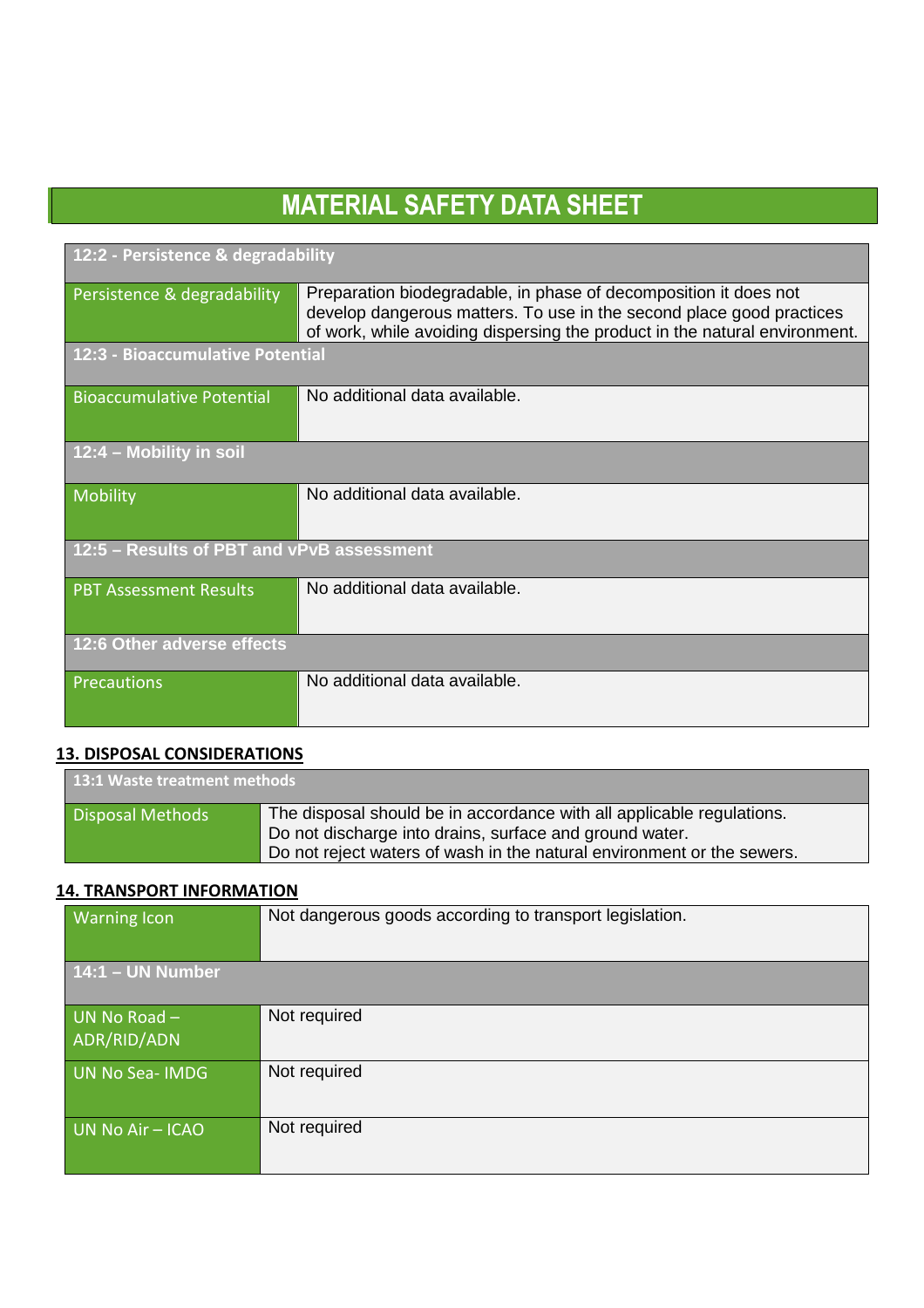| 12:2 - Persistence & degradability        |                                                                                                                                                                                                                        |
|-------------------------------------------|------------------------------------------------------------------------------------------------------------------------------------------------------------------------------------------------------------------------|
| Persistence & degradability               | Preparation biodegradable, in phase of decomposition it does not<br>develop dangerous matters. To use in the second place good practices<br>of work, while avoiding dispersing the product in the natural environment. |
| 12:3 - Bioaccumulative Potential          |                                                                                                                                                                                                                        |
| <b>Bioaccumulative Potential</b>          | No additional data available.                                                                                                                                                                                          |
| 12:4 - Mobility in soil                   |                                                                                                                                                                                                                        |
| Mobility                                  | No additional data available.                                                                                                                                                                                          |
| 12:5 - Results of PBT and vPvB assessment |                                                                                                                                                                                                                        |
| <b>PBT Assessment Results</b>             | No additional data available.                                                                                                                                                                                          |
| 12:6 Other adverse effects                |                                                                                                                                                                                                                        |
| Precautions                               | No additional data available.                                                                                                                                                                                          |

### **13. DISPOSAL CONSIDERATIONS**

| 13:1 Waste treatment methods |                                                                                                                                                                                                            |
|------------------------------|------------------------------------------------------------------------------------------------------------------------------------------------------------------------------------------------------------|
| <b>Disposal Methods</b>      | The disposal should be in accordance with all applicable regulations.<br>Do not discharge into drains, surface and ground water.<br>Do not reject waters of wash in the natural environment or the sewers. |

### **14. TRANSPORT INFORMATION**

| <b>Warning Icon</b>           | Not dangerous goods according to transport legislation. |
|-------------------------------|---------------------------------------------------------|
| $14:1 - UN Number$            |                                                         |
| UN No Road $-$<br>ADR/RID/ADN | Not required                                            |
| UN No Sea-IMDG                | Not required                                            |
| UN No Air - ICAO              | Not required                                            |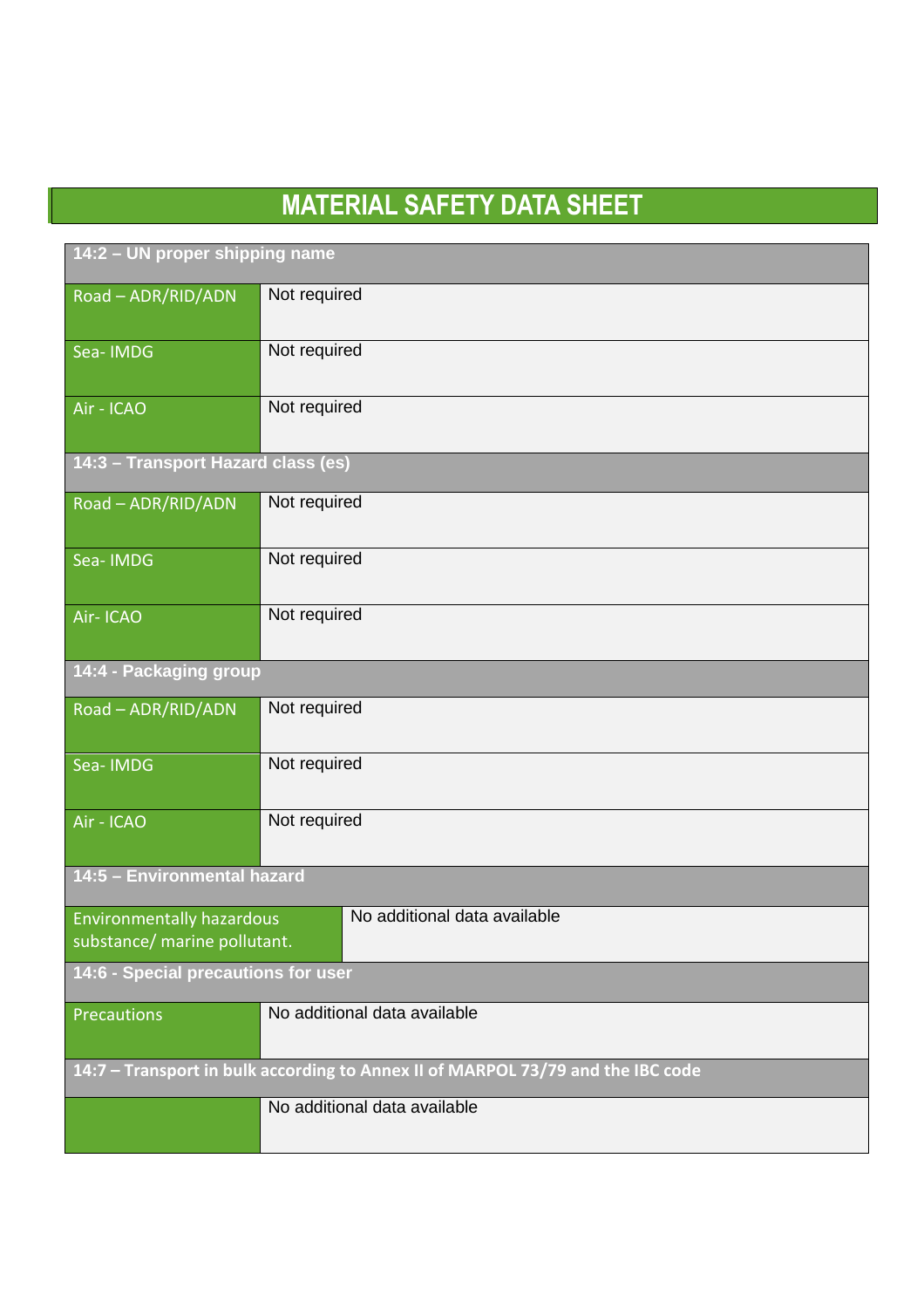$\overline{a}$ 

| 14:2 - UN proper shipping name                                                  |                              |
|---------------------------------------------------------------------------------|------------------------------|
| Road - ADR/RID/ADN                                                              | Not required                 |
| Sea-IMDG                                                                        | Not required                 |
| Air - ICAO                                                                      | Not required                 |
| 14:3 - Transport Hazard class (es)                                              |                              |
| Road - ADR/RID/ADN                                                              | Not required                 |
| Sea-IMDG                                                                        | Not required                 |
| Air-ICAO                                                                        | Not required                 |
| 14:4 - Packaging group                                                          |                              |
| Road - ADR/RID/ADN                                                              | Not required                 |
| Sea-IMDG                                                                        | Not required                 |
| Air - ICAO                                                                      | Not required                 |
| 14:5 - Environmental hazard                                                     |                              |
| <b>Environmentally hazardous</b><br>substance/ marine pollutant.                | No additional data available |
| 14:6 - Special precautions for user                                             |                              |
| Precautions                                                                     | No additional data available |
| 14:7 - Transport in bulk according to Annex II of MARPOL 73/79 and the IBC code |                              |
|                                                                                 | No additional data available |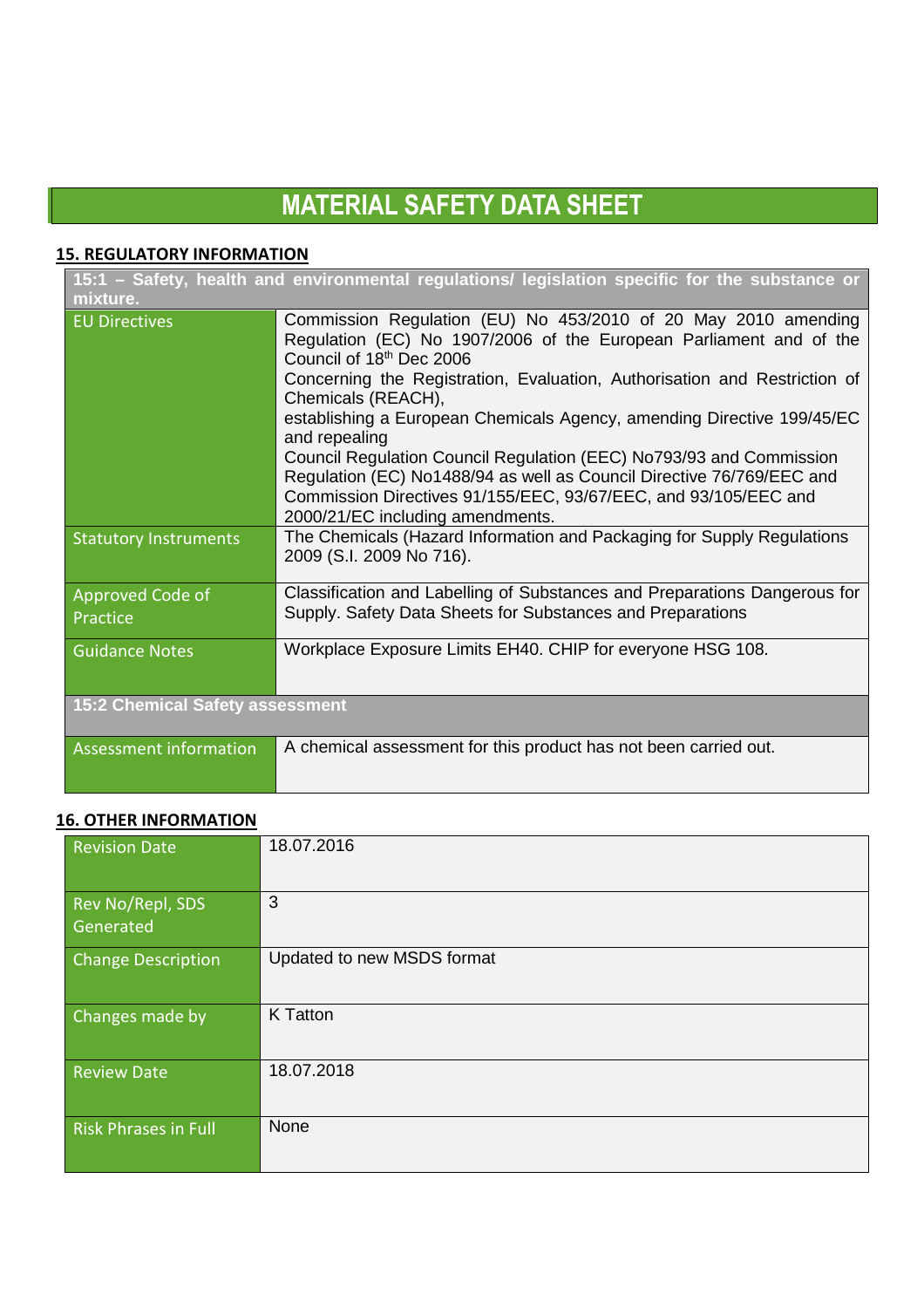### **15. REGULATORY INFORMATION**

| 15:1 - Safety, health and environmental regulations/ legislation specific for the substance or |                                                                                                                                                                                                                                                                                 |
|------------------------------------------------------------------------------------------------|---------------------------------------------------------------------------------------------------------------------------------------------------------------------------------------------------------------------------------------------------------------------------------|
| mixture.                                                                                       |                                                                                                                                                                                                                                                                                 |
| <b>EU Directives</b>                                                                           | Commission Regulation (EU) No 453/2010 of 20 May 2010 amending<br>Regulation (EC) No 1907/2006 of the European Parliament and of the<br>Council of 18 <sup>th</sup> Dec 2006<br>Concerning the Registration, Evaluation, Authorisation and Restriction of<br>Chemicals (REACH), |
|                                                                                                | establishing a European Chemicals Agency, amending Directive 199/45/EC<br>and repealing                                                                                                                                                                                         |
|                                                                                                | Council Regulation Council Regulation (EEC) No793/93 and Commission<br>Regulation (EC) No1488/94 as well as Council Directive 76/769/EEC and<br>Commission Directives 91/155/EEC, 93/67/EEC, and 93/105/EEC and<br>2000/21/EC including amendments.                             |
| <b>Statutory Instruments</b>                                                                   | The Chemicals (Hazard Information and Packaging for Supply Regulations<br>2009 (S.I. 2009 No 716).                                                                                                                                                                              |
| Approved Code of                                                                               | Classification and Labelling of Substances and Preparations Dangerous for                                                                                                                                                                                                       |
| Practice                                                                                       | Supply. Safety Data Sheets for Substances and Preparations                                                                                                                                                                                                                      |
| <b>Guidance Notes</b>                                                                          | Workplace Exposure Limits EH40. CHIP for everyone HSG 108.                                                                                                                                                                                                                      |
| <b>15:2 Chemical Safety assessment</b>                                                         |                                                                                                                                                                                                                                                                                 |
| Assessment information                                                                         | A chemical assessment for this product has not been carried out.                                                                                                                                                                                                                |

## **16. OTHER INFORMATION**

| <b>Revision Date</b>          | 18.07.2016                 |
|-------------------------------|----------------------------|
| Rev No/Repl, SDS<br>Generated | 3                          |
| <b>Change Description</b>     | Updated to new MSDS format |
| Changes made by               | K Tatton                   |
| <b>Review Date</b>            | 18.07.2018                 |
| <b>Risk Phrases in Full</b>   | None                       |